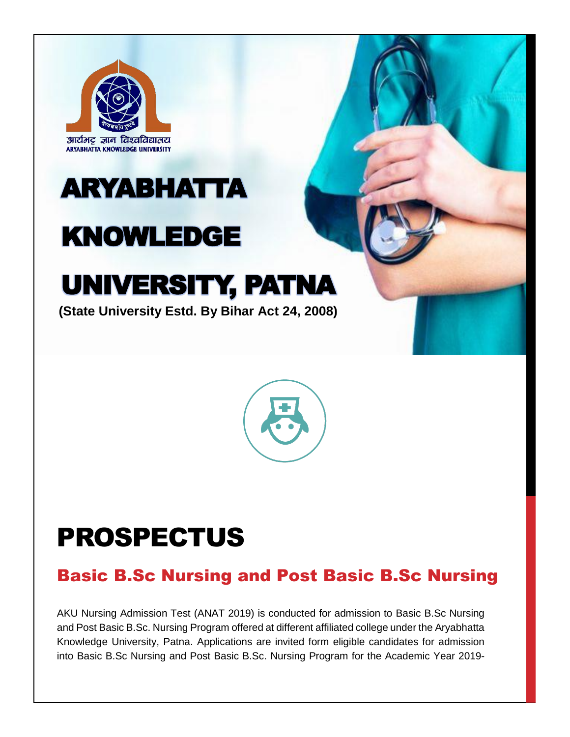

# ARYABHATTA

## KNOWLEDGE

## UNIVERSITY, PATNA

**(State University Estd. By Bihar Act 24, 2008)**



## PROSPECTUS

### Basic B.Sc Nursing and Post Basic B.Sc Nursing

AKU Nursing Admission Test (ANAT 2019) is conducted for admission to Basic B.Sc Nursing and Post Basic B.Sc. Nursing Program offered at different affiliated college under the Aryabhatta Knowledge University, Patna. Applications are invited form eligible candidates for admission into Basic B.Sc Nursing and Post Basic B.Sc. Nursing Program for the Academic Year 2019-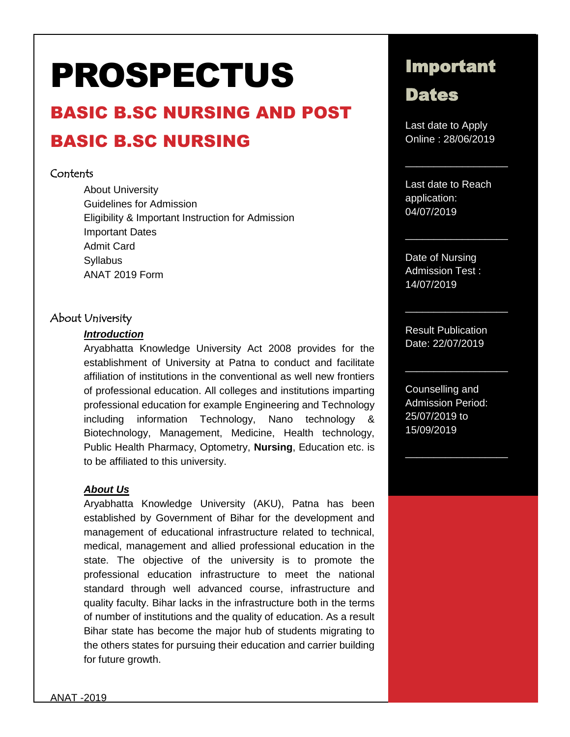# PROSPECTUS

## BASIC B.SC NURSING AND POST BASIC B.SC NURSING

#### Contents

About University Guidelines for Admission Eligibility & Important Instruction for Admission Important Dates Admit Card **Syllabus** ANAT 2019 Form

#### About University

#### *Introduction*

Aryabhatta Knowledge University Act 2008 provides for the establishment of University at Patna to conduct and facilitate affiliation of institutions in the conventional as well new frontiers of professional education. All colleges and institutions imparting professional education for example Engineering and Technology including information Technology, Nano technology & Biotechnology, Management, Medicine, Health technology, Public Health Pharmacy, Optometry, **Nursing**, Education etc. is to be affiliated to this university.

#### *About Us*

Aryabhatta Knowledge University (AKU), Patna has been established by Government of Bihar for the development and management of educational infrastructure related to technical, medical, management and allied professional education in the state. The objective of the university is to promote the professional education infrastructure to meet the national standard through well advanced course, infrastructure and quality faculty. Bihar lacks in the infrastructure both in the terms of number of institutions and the quality of education. As a result Bihar state has become the major hub of students migrating to the others states for pursuing their education and carrier building for future growth.

### Important

### Dates

Last date to Apply Online : 28/06/2019

 $\overline{\phantom{a}}$ 

 $\overline{\phantom{a}}$ 

 $\overline{\phantom{a}}$ 

 $\overline{\phantom{a}}$ 

 $\overline{\phantom{a}}$ 

Last date to Reach application: 04/07/2019

Date of Nursing Admission Test : 14/07/2019

Result Publication Date: 22/07/2019

Counselling and Admission Period: 25/07/2019 to 15/09/2019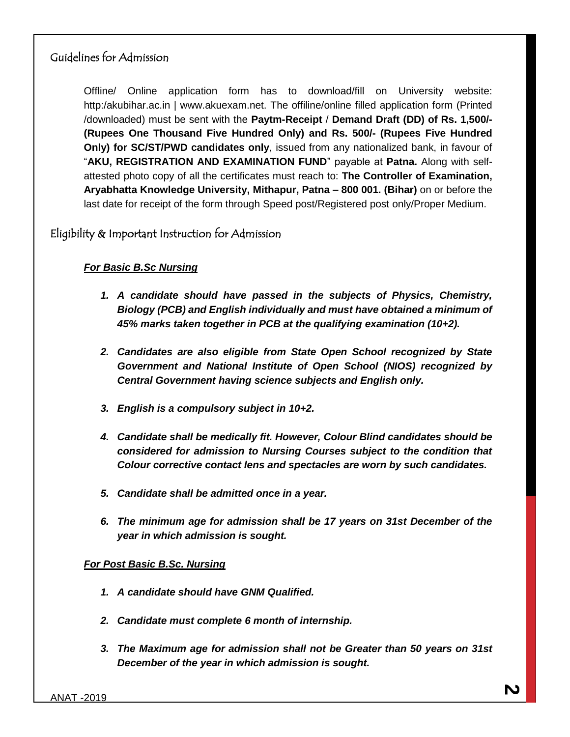#### Guidelines for Admission

Offline/ Online application form has to download/fill on University website: http:/akubihar.ac.in | www.akuexam.net. The offiline/online filled application form (Printed /downloaded) must be sent with the **Paytm-Receipt** / **Demand Draft (DD) of Rs. 1,500/- (Rupees One Thousand Five Hundred Only) and Rs. 500/- (Rupees Five Hundred Only) for SC/ST/PWD candidates only**, issued from any nationalized bank, in favour of "**AKU, REGISTRATION AND EXAMINATION FUND**" payable at **Patna.** Along with selfattested photo copy of all the certificates must reach to: **The Controller of Examination, Aryabhatta Knowledge University, Mithapur, Patna – 800 001. (Bihar)** on or before the last date for receipt of the form through Speed post/Registered post only/Proper Medium.

Eligibility & Important Instruction for Admission

#### *For Basic B.Sc Nursing*

- *1. A candidate should have passed in the subjects of Physics, Chemistry, Biology (PCB) and English individually and must have obtained a minimum of 45% marks taken together in PCB at the qualifying examination (10+2).*
- *2. Candidates are also eligible from State Open School recognized by State Government and National Institute of Open School (NIOS) recognized by Central Government having science subjects and English only.*
- *3. English is a compulsory subject in 10+2.*
- *4. Candidate shall be medically fit. However, Colour Blind candidates should be considered for admission to Nursing Courses subject to the condition that Colour corrective contact lens and spectacles are worn by such candidates.*
- *5. Candidate shall be admitted once in a year.*
- *6. The minimum age for admission shall be 17 years on 31st December of the year in which admission is sought.*

#### *For Post Basic B.Sc. Nursing*

- *1. A candidate should have GNM Qualified.*
- *2. Candidate must complete 6 month of internship.*
- *3. The Maximum age for admission shall not be Greater than 50 years on 31st December of the year in which admission is sought.*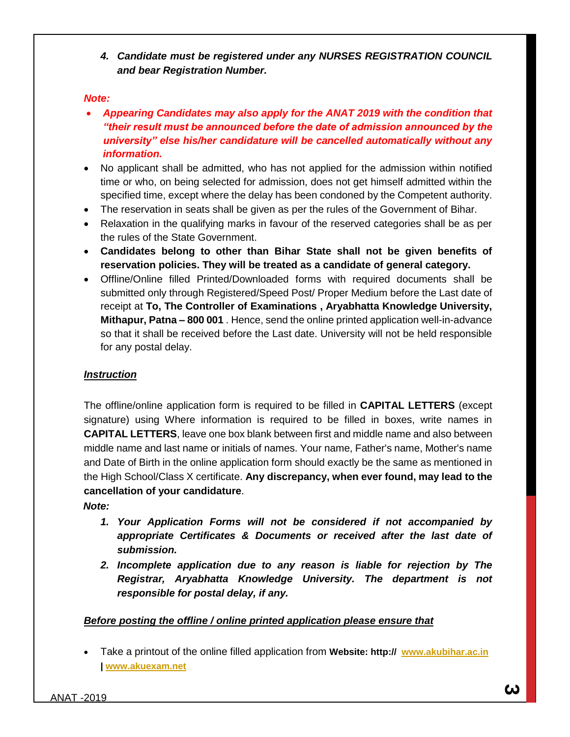#### *4. Candidate must be registered under any NURSES REGISTRATION COUNCIL and bear Registration Number.*

#### *Note:*

- *Appearing Candidates may also apply for the ANAT 2019 with the condition that "their result must be announced before the date of admission announced by the university" else his/her candidature will be cancelled automatically without any information.*
- No applicant shall be admitted, who has not applied for the admission within notified time or who, on being selected for admission, does not get himself admitted within the specified time, except where the delay has been condoned by the Competent authority.
- The reservation in seats shall be given as per the rules of the Government of Bihar.
- Relaxation in the qualifying marks in favour of the reserved categories shall be as per the rules of the State Government.
- **Candidates belong to other than Bihar State shall not be given benefits of reservation policies. They will be treated as a candidate of general category.**
- Offline/Online filled Printed/Downloaded forms with required documents shall be submitted only through Registered/Speed Post/ Proper Medium before the Last date of receipt at **To, The Controller of Examinations , Aryabhatta Knowledge University, Mithapur, Patna – 800 001** . Hence, send the online printed application well-in-advance so that it shall be received before the Last date. University will not be held responsible for any postal delay.

#### *Instruction*

The offline/online application form is required to be filled in **CAPITAL LETTERS** (except signature) using Where information is required to be filled in boxes, write names in **CAPITAL LETTERS**, leave one box blank between first and middle name and also between middle name and last name or initials of names. Your name, Father's name, Mother's name and Date of Birth in the online application form should exactly be the same as mentioned in the High School/Class X certificate. **Any discrepancy, when ever found, may lead to the cancellation of your candidature**.

#### *Note:*

- *1. Your Application Forms will not be considered if not accompanied by appropriate Certificates & Documents or received after the last date of submission.*
- *2. Incomplete application due to any reason is liable for rejection by The Registrar, Aryabhatta Knowledge University. The department is not responsible for postal delay, if any.*

#### *Before posting the offline / online printed application please ensure that*

 Take a printout of the online filled application from **Website: http:// [www.akubihar.ac.in](http://www.akubihar.ac.in/) | [www.akuexam.net](http://www.akuexam.net/)**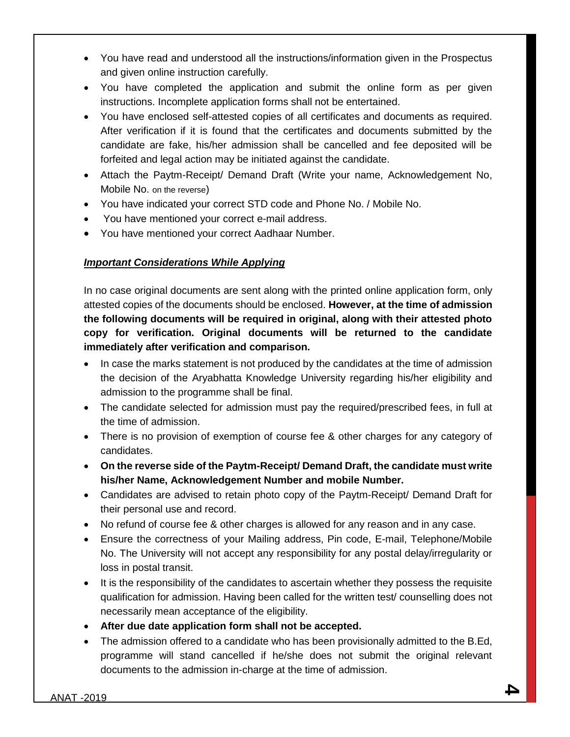- You have read and understood all the instructions/information given in the Prospectus and given online instruction carefully.
- You have completed the application and submit the online form as per given instructions. Incomplete application forms shall not be entertained.
- You have enclosed self-attested copies of all certificates and documents as required. After verification if it is found that the certificates and documents submitted by the candidate are fake, his/her admission shall be cancelled and fee deposited will be forfeited and legal action may be initiated against the candidate.
- Attach the Paytm-Receipt/ Demand Draft (Write your name, Acknowledgement No, Mobile No. on the reverse)
- You have indicated your correct STD code and Phone No. / Mobile No.
- You have mentioned your correct e-mail address.
- You have mentioned your correct Aadhaar Number.

#### *Important Considerations While Applying*

In no case original documents are sent along with the printed online application form, only attested copies of the documents should be enclosed. **However, at the time of admission the following documents will be required in original, along with their attested photo copy for verification. Original documents will be returned to the candidate immediately after verification and comparison.**

- In case the marks statement is not produced by the candidates at the time of admission the decision of the Aryabhatta Knowledge University regarding his/her eligibility and admission to the programme shall be final.
- The candidate selected for admission must pay the required/prescribed fees, in full at the time of admission.
- There is no provision of exemption of course fee & other charges for any category of candidates.
- **On the reverse side of the Paytm-Receipt/ Demand Draft, the candidate must write his/her Name, Acknowledgement Number and mobile Number.**
- Candidates are advised to retain photo copy of the Paytm-Receipt/ Demand Draft for their personal use and record.
- No refund of course fee & other charges is allowed for any reason and in any case.
- Ensure the correctness of your Mailing address, Pin code, E-mail, Telephone/Mobile No. The University will not accept any responsibility for any postal delay/irregularity or loss in postal transit.
- It is the responsibility of the candidates to ascertain whether they possess the requisite qualification for admission. Having been called for the written test/ counselling does not necessarily mean acceptance of the eligibility.
- **After due date application form shall not be accepted.**
- The admission offered to a candidate who has been provisionally admitted to the B.Ed, programme will stand cancelled if he/she does not submit the original relevant documents to the admission in-charge at the time of admission.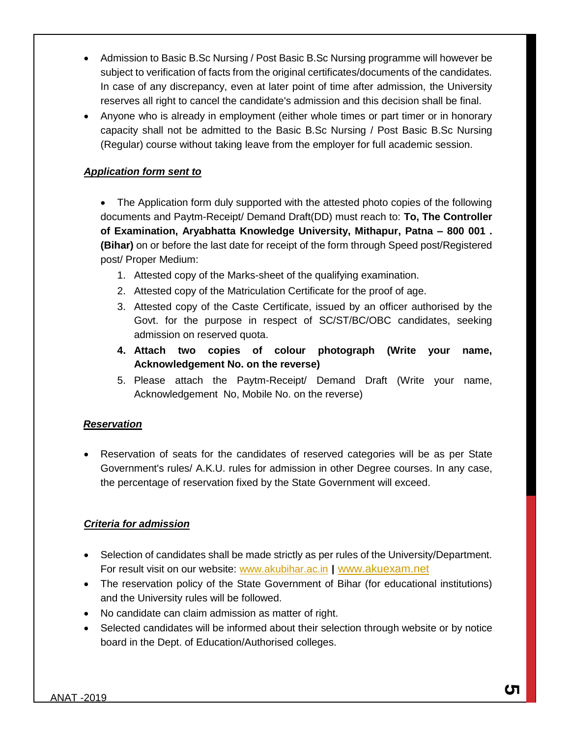- Admission to Basic B.Sc Nursing / Post Basic B.Sc Nursing programme will however be subject to verification of facts from the original certificates/documents of the candidates. In case of any discrepancy, even at later point of time after admission, the University reserves all right to cancel the candidate's admission and this decision shall be final.
- Anyone who is already in employment (either whole times or part timer or in honorary capacity shall not be admitted to the Basic B.Sc Nursing / Post Basic B.Sc Nursing (Regular) course without taking leave from the employer for full academic session.

#### *Application form sent to*

 The Application form duly supported with the attested photo copies of the following documents and Paytm-Receipt/ Demand Draft(DD) must reach to: **To, The Controller of Examination, Aryabhatta Knowledge University, Mithapur, Patna – 800 001 . (Bihar)** on or before the last date for receipt of the form through Speed post/Registered post/ Proper Medium:

- 1. Attested copy of the Marks-sheet of the qualifying examination.
- 2. Attested copy of the Matriculation Certificate for the proof of age.
- 3. Attested copy of the Caste Certificate, issued by an officer authorised by the Govt. for the purpose in respect of SC/ST/BC/OBC candidates, seeking admission on reserved quota.
- **4. Attach two copies of colour photograph (Write your name, Acknowledgement No. on the reverse)**
- 5. Please attach the Paytm-Receipt/ Demand Draft (Write your name, Acknowledgement No, Mobile No. on the reverse)

#### *Reservation*

 Reservation of seats for the candidates of reserved categories will be as per State Government's rules/ A.K.U. rules for admission in other Degree courses. In any case, the percentage of reservation fixed by the State Government will exceed.

#### *Criteria for admission*

- Selection of candidates shall be made strictly as per rules of the University/Department. For result visit on our website: [www.akubihar.ac.in](http://www.akubihar.ac.in/) | [www.akuexam.net](http://www.akuexam.net/)
- The reservation policy of the State Government of Bihar (for educational institutions) and the University rules will be followed.
- No candidate can claim admission as matter of right.
- Selected candidates will be informed about their selection through website or by notice board in the Dept. of Education/Authorised colleges.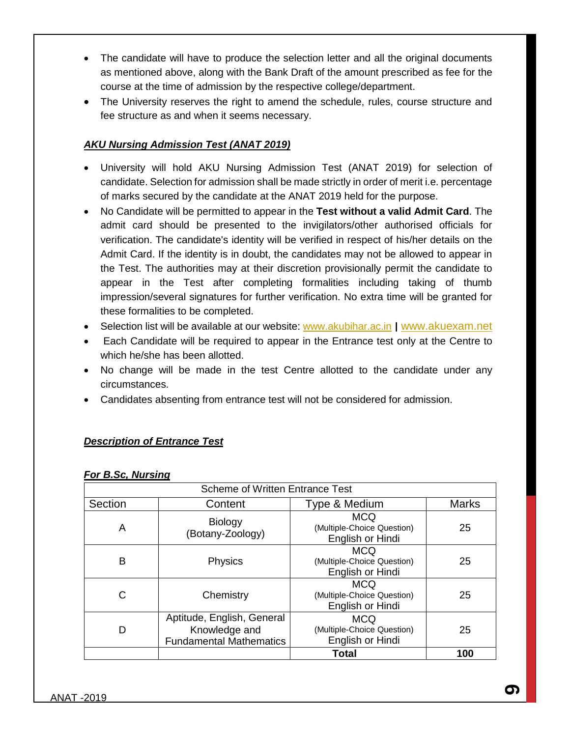- The candidate will have to produce the selection letter and all the original documents as mentioned above, along with the Bank Draft of the amount prescribed as fee for the course at the time of admission by the respective college/department.
- The University reserves the right to amend the schedule, rules, course structure and fee structure as and when it seems necessary.

#### *AKU Nursing Admission Test (ANAT 2019)*

- University will hold AKU Nursing Admission Test (ANAT 2019) for selection of candidate. Selection for admission shall be made strictly in order of merit i.e. percentage of marks secured by the candidate at the ANAT 2019 held for the purpose.
- No Candidate will be permitted to appear in the **Test without a valid Admit Card**. The admit card should be presented to the invigilators/other authorised officials for verification. The candidate's identity will be verified in respect of his/her details on the Admit Card. If the identity is in doubt, the candidates may not be allowed to appear in the Test. The authorities may at their discretion provisionally permit the candidate to appear in the Test after completing formalities including taking of thumb impression/several signatures for further verification. No extra time will be granted for these formalities to be completed.
- Selection list will be available at our website: [www.akubihar.ac.in](http://www.akubihar.ac.in/) | [www.akuexam.net](http://www.akuexam.net/)
- Each Candidate will be required to appear in the Entrance test only at the Centre to which he/she has been allotted.
- No change will be made in the test Centre allotted to the candidate under any circumstances.
- Candidates absenting from entrance test will not be considered for admission.

#### *Description of Entrance Test*

|         | <b>Scheme of Written Entrance Test</b>                                        |                                                              |              |  |  |  |  |  |  |  |  |  |
|---------|-------------------------------------------------------------------------------|--------------------------------------------------------------|--------------|--|--|--|--|--|--|--|--|--|
|         |                                                                               |                                                              |              |  |  |  |  |  |  |  |  |  |
| Section | Content                                                                       | Type & Medium                                                | <b>Marks</b> |  |  |  |  |  |  |  |  |  |
| A       | <b>Biology</b><br>(Botany-Zoology)                                            | <b>MCQ</b><br>(Multiple-Choice Question)<br>English or Hindi | 25           |  |  |  |  |  |  |  |  |  |
| B       | <b>Physics</b>                                                                | <b>MCQ</b><br>(Multiple-Choice Question)<br>English or Hindi | 25           |  |  |  |  |  |  |  |  |  |
| C       | Chemistry                                                                     | <b>MCQ</b><br>(Multiple-Choice Question)<br>English or Hindi | 25           |  |  |  |  |  |  |  |  |  |
| D       | Aptitude, English, General<br>Knowledge and<br><b>Fundamental Mathematics</b> | <b>MCQ</b><br>(Multiple-Choice Question)<br>English or Hindi | 25           |  |  |  |  |  |  |  |  |  |
|         |                                                                               | Total                                                        | 100          |  |  |  |  |  |  |  |  |  |

#### *For B.Sc, Nursing*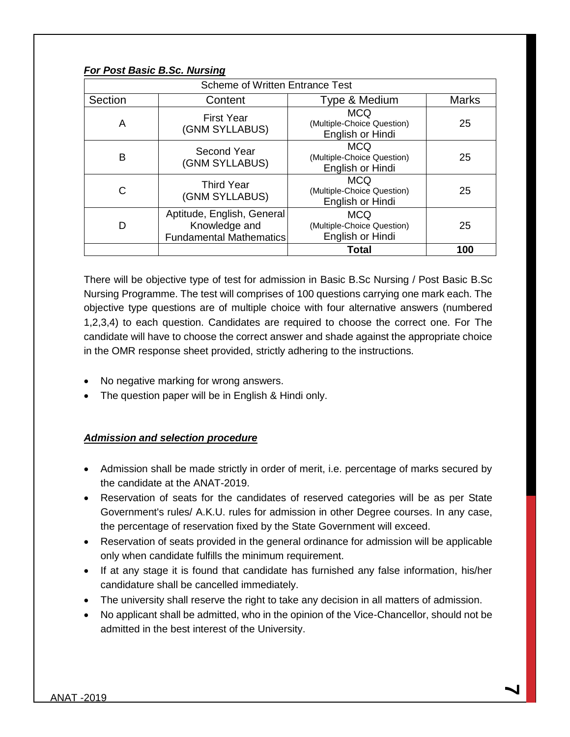| <b>Scheme of Written Entrance Test</b> |                                                                               |                                                              |              |  |  |  |  |  |  |  |  |
|----------------------------------------|-------------------------------------------------------------------------------|--------------------------------------------------------------|--------------|--|--|--|--|--|--|--|--|
| Section                                | Content                                                                       | Type & Medium                                                | <b>Marks</b> |  |  |  |  |  |  |  |  |
| A                                      | <b>First Year</b><br>(GNM SYLLABUS)                                           | <b>MCQ</b><br>(Multiple-Choice Question)<br>English or Hindi | 25           |  |  |  |  |  |  |  |  |
| B                                      | Second Year<br>(GNM SYLLABUS)                                                 | <b>MCQ</b><br>(Multiple-Choice Question)<br>English or Hindi | 25           |  |  |  |  |  |  |  |  |
| C                                      | <b>Third Year</b><br>(GNM SYLLABUS)                                           | <b>MCQ</b><br>(Multiple-Choice Question)<br>English or Hindi | 25           |  |  |  |  |  |  |  |  |
|                                        | Aptitude, English, General<br>Knowledge and<br><b>Fundamental Mathematics</b> | <b>MCQ</b><br>(Multiple-Choice Question)<br>English or Hindi | 25           |  |  |  |  |  |  |  |  |
|                                        |                                                                               | <b>Total</b>                                                 | 100          |  |  |  |  |  |  |  |  |

There will be objective type of test for admission in Basic B.Sc Nursing / Post Basic B.Sc Nursing Programme. The test will comprises of 100 questions carrying one mark each. The objective type questions are of multiple choice with four alternative answers (numbered 1,2,3,4) to each question. Candidates are required to choose the correct one. For The candidate will have to choose the correct answer and shade against the appropriate choice in the OMR response sheet provided, strictly adhering to the instructions.

- No negative marking for wrong answers.
- The question paper will be in English & Hindi only.

#### *Admission and selection procedure*

*For Post Basic B.Sc. Nursing*

- Admission shall be made strictly in order of merit, i.e. percentage of marks secured by the candidate at the ANAT-2019.
- Reservation of seats for the candidates of reserved categories will be as per State Government's rules/ A.K.U. rules for admission in other Degree courses. In any case, the percentage of reservation fixed by the State Government will exceed.
- Reservation of seats provided in the general ordinance for admission will be applicable only when candidate fulfills the minimum requirement.
- If at any stage it is found that candidate has furnished any false information, his/her candidature shall be cancelled immediately.
- The university shall reserve the right to take any decision in all matters of admission.
- No applicant shall be admitted, who in the opinion of the Vice-Chancellor, should not be admitted in the best interest of the University.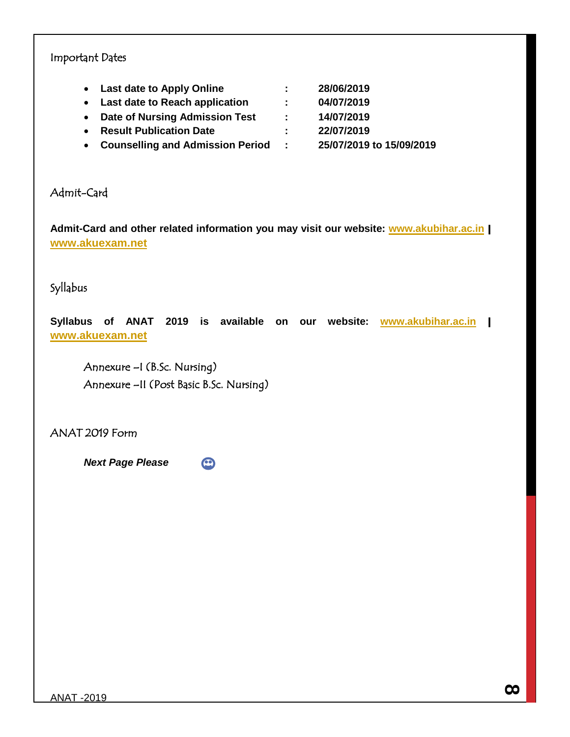#### Important Dates

**Last date to Apply Online : 28/06/2019**

**Last date to Reach application : 04/07/2019**

- **Date of Nursing Admission Test : 14/07/2019**
- **Result Publication Date : 22/07/2019**
- 
- **Counselling and Admission Period : 25/07/2019 to 15/09/2019**

Admit-Card

**Admit-Card and other related information you may visit our website: [www.akubihar.ac.in](http://www.akubihar.ac.in/)** | **[www.akuexam.net](http://www.akuexam.net/)**

Syllabus

**Syllabus of ANAT 2019 is available on our website: [www.akubihar.ac.in](http://www.akubihar.ac.in/)** | **[www.akuexam.net](http://www.akuexam.net/)**

 Annexure –I (B.Sc. Nursing) Annexure –II (Post Basic B.Sc. Nursing)

ANAT 2019 Form

*Next Page Please* 

 $\odot$